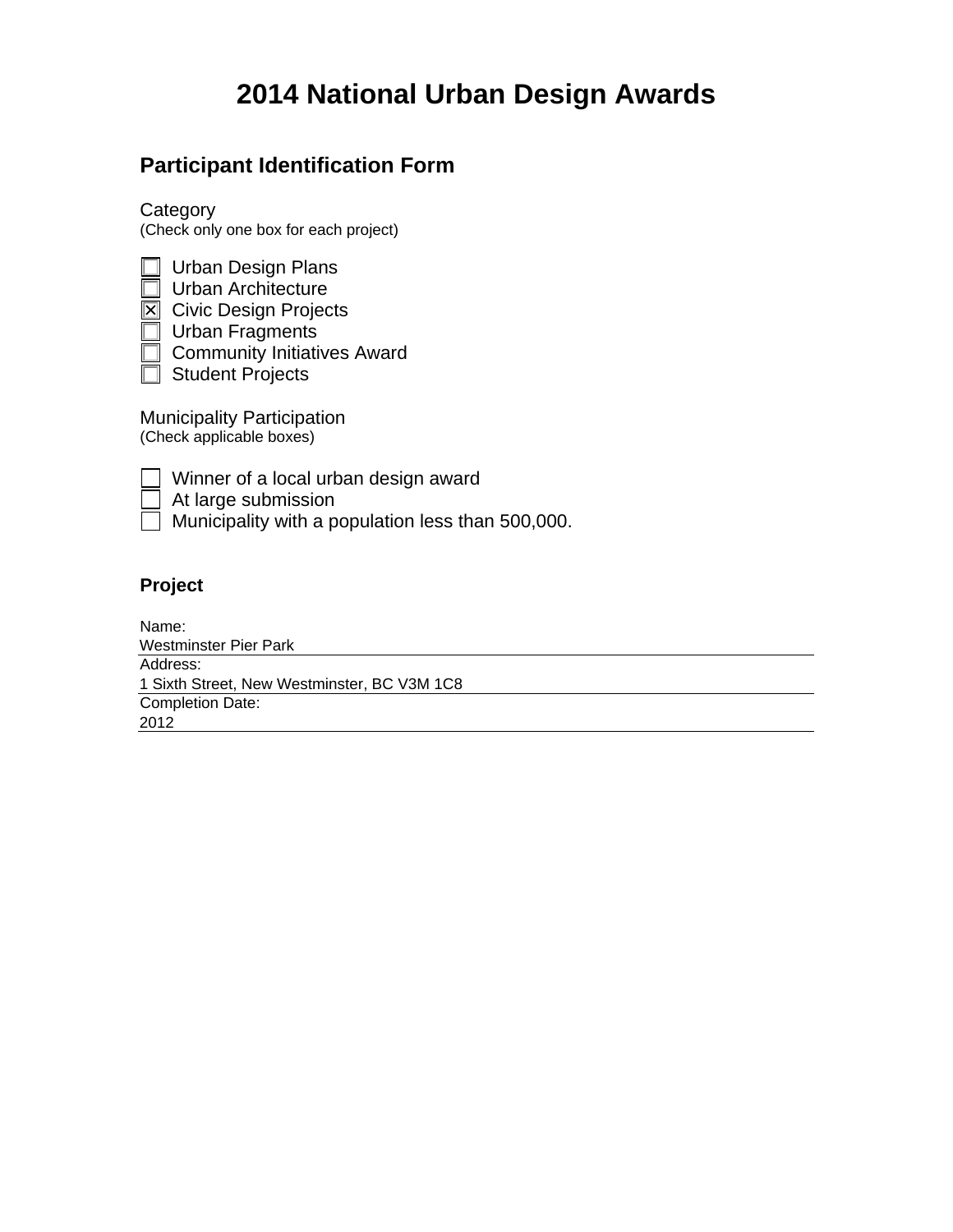# **2014 National Urban Design Awards**

### **Participant Identification Form**

**Category** (Check only one box for each project)

|                          | <b>Urban Design Plans</b>          |
|--------------------------|------------------------------------|
|                          | <b>Urban Architecture</b>          |
| $\overline{\bm{\times}}$ | <b>Civic Design Projects</b>       |
|                          | <b>Urban Fragments</b>             |
|                          | <b>Community Initiatives Award</b> |
|                          | <b>Student Projects</b>            |
|                          |                                    |

Municipality Participation (Check applicable boxes)

| ı<br>_ |  |
|--------|--|
| _      |  |

Winner of a local urban design award

At large submission

 $\Box$  Municipality with a population less than 500,000.

### **Project**

Name: Address: Completion Date: Westminster Pier Park 1 Sixth Street, New Westminster, BC V3M 1C8 2012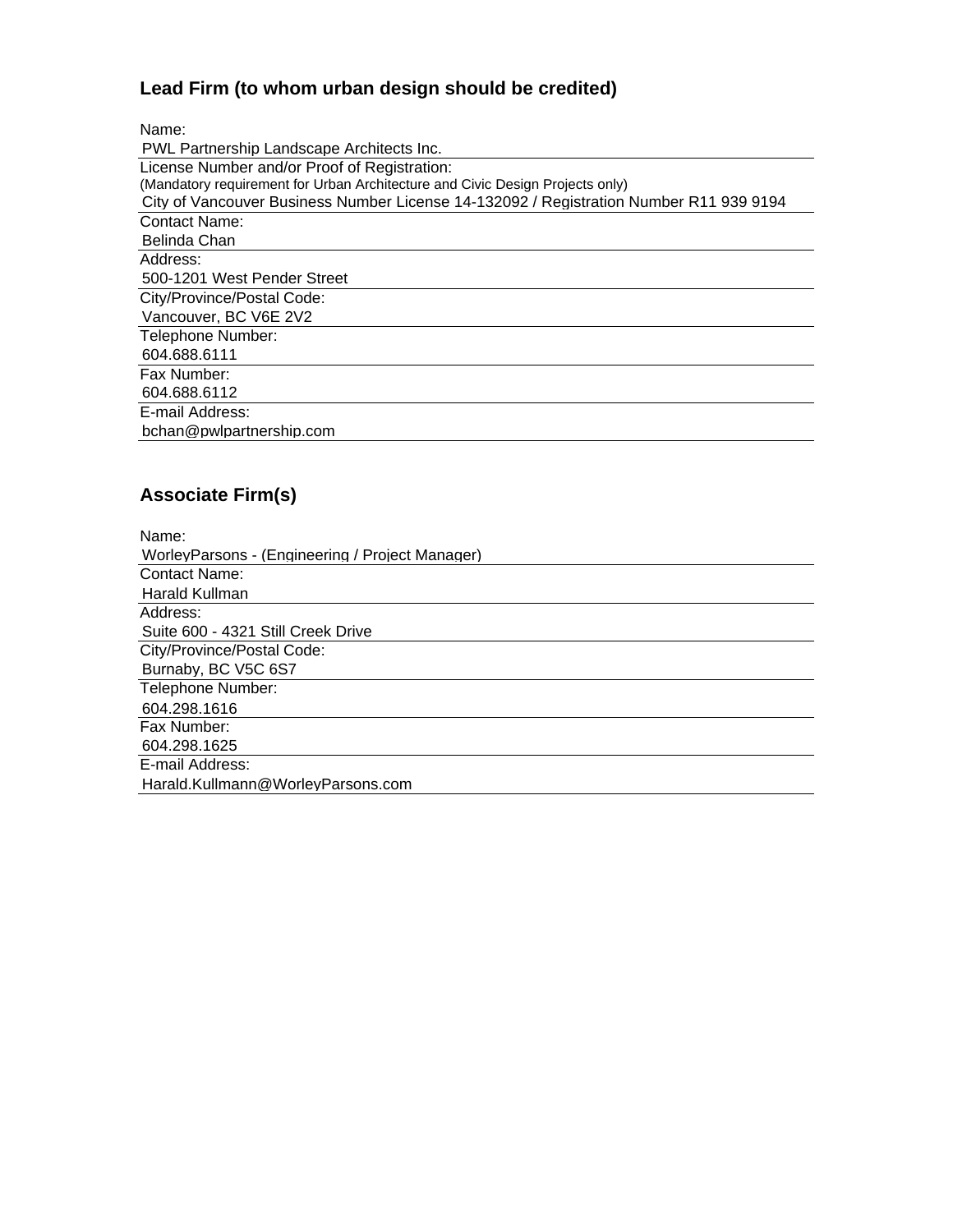## **Lead Firm (to whom urban design should be credited)**

Name:

| PWL Partnership Landscape Architects Inc.                                              |  |  |
|----------------------------------------------------------------------------------------|--|--|
| License Number and/or Proof of Registration:                                           |  |  |
| (Mandatory requirement for Urban Architecture and Civic Design Projects only)          |  |  |
| City of Vancouver Business Number License 14-132092 / Registration Number R11 939 9194 |  |  |
| <b>Contact Name:</b>                                                                   |  |  |
| Belinda Chan                                                                           |  |  |
| Address:                                                                               |  |  |
| 500-1201 West Pender Street                                                            |  |  |
| City/Province/Postal Code:                                                             |  |  |
| Vancouver, BC V6E 2V2                                                                  |  |  |
| Telephone Number:                                                                      |  |  |
| 604.688.6111                                                                           |  |  |
| Fax Number:                                                                            |  |  |
| 604.688.6112                                                                           |  |  |
| E-mail Address:                                                                        |  |  |
| bchan@pwlpartnership.com                                                               |  |  |

## **Associate Firm(s)**

| bchan@pwlpartnership.com                        |  |  |
|-------------------------------------------------|--|--|
|                                                 |  |  |
| <b>Associate Firm(s)</b>                        |  |  |
| Name:                                           |  |  |
| WorleyParsons - (Engineering / Project Manager) |  |  |
| <b>Contact Name:</b>                            |  |  |
| Harald Kullman                                  |  |  |
| Address:                                        |  |  |
| Suite 600 - 4321 Still Creek Drive              |  |  |
| City/Province/Postal Code:                      |  |  |
| Burnaby, BC V5C 6S7                             |  |  |
| Telephone Number:                               |  |  |
| 604.298.1616                                    |  |  |
| Fax Number:                                     |  |  |
| 604.298.1625                                    |  |  |
| E-mail Address:                                 |  |  |
| Harald.Kullmann@WorleyParsons.com               |  |  |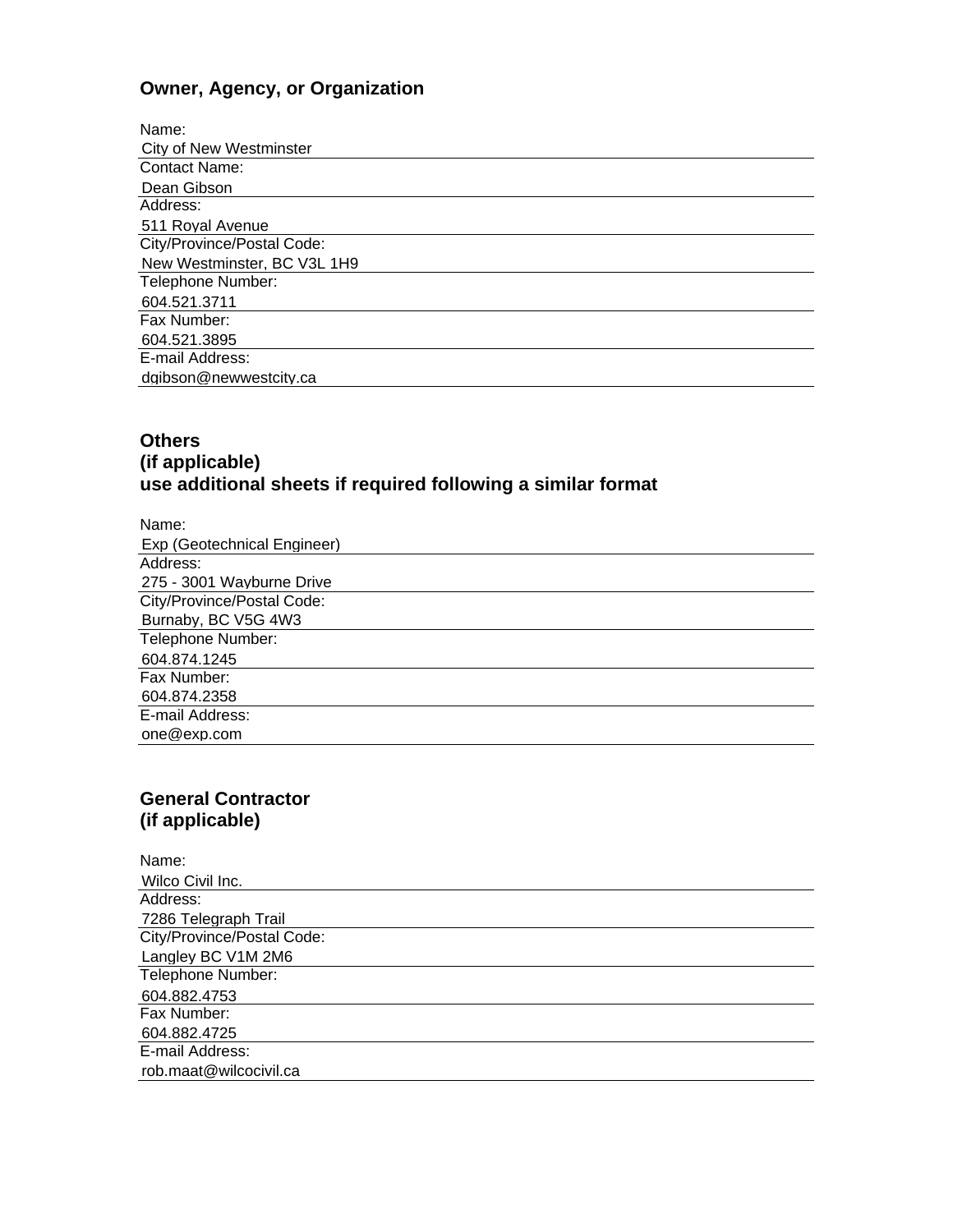### **Owner, Agency, or Organization**

| Name:                       |  |  |
|-----------------------------|--|--|
| City of New Westminster     |  |  |
| <b>Contact Name:</b>        |  |  |
| Dean Gibson                 |  |  |
| Address:                    |  |  |
| 511 Royal Avenue            |  |  |
| City/Province/Postal Code:  |  |  |
| New Westminster, BC V3L 1H9 |  |  |
| Telephone Number:           |  |  |
| 604.521.3711                |  |  |
| Fax Number:                 |  |  |
| 604.521.3895                |  |  |
| E-mail Address:             |  |  |
| dgibson@newwestcity.ca      |  |  |
|                             |  |  |

#### **Others (if applicable) use additional sheets if required following a similar format**

| Name:                       |
|-----------------------------|
| Exp (Geotechnical Engineer) |
| Address:                    |
| 275 - 3001 Wayburne Drive   |
| City/Province/Postal Code:  |
| Burnaby, BC V5G 4W3         |
| Telephone Number:           |
| 604.874.1245                |
| Fax Number:                 |
| 604.874.2358                |
| E-mail Address:             |
| one@exp.com                 |

#### **General Contractor (if applicable)**

| Name:                      |
|----------------------------|
| Wilco Civil Inc.           |
| Address:                   |
| 7286 Telegraph Trail       |
| City/Province/Postal Code: |
| Langley BC V1M 2M6         |
| Telephone Number:          |
| 604.882.4753               |
| Fax Number:                |
| 604.882.4725               |
| E-mail Address:            |
| rob.maat@wilcocivil.ca     |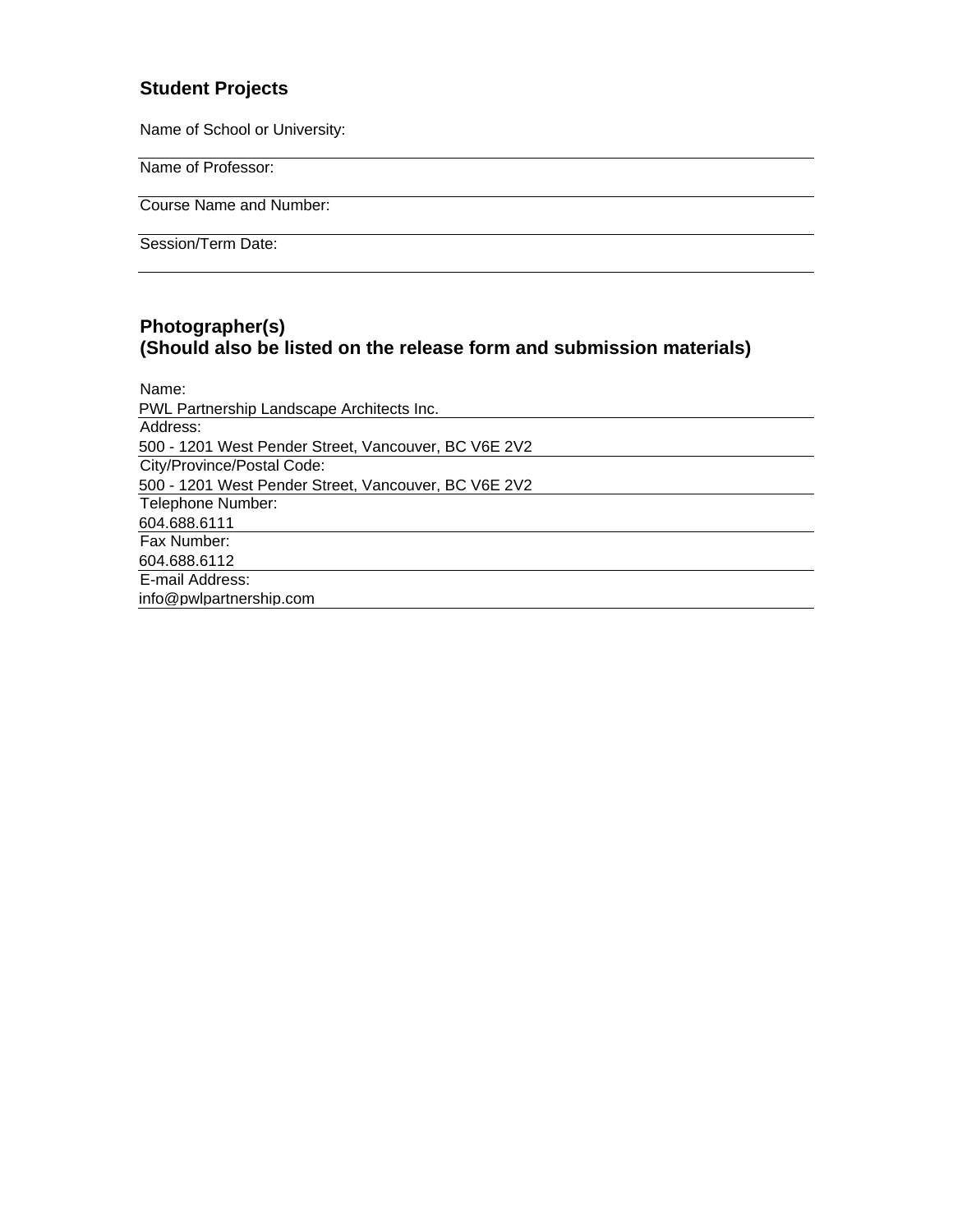#### **Student Projects**

Name of School or University:

Name of Professor:

Course Name and Number:

Session/Term Date:

#### **Photographer(s) (Should also be listed on the release form and submission materials)**

| Name:                                                |
|------------------------------------------------------|
| PWL Partnership Landscape Architects Inc.            |
| Address:                                             |
| 500 - 1201 West Pender Street, Vancouver, BC V6E 2V2 |
| City/Province/Postal Code:                           |
| 500 - 1201 West Pender Street, Vancouver, BC V6E 2V2 |
| Telephone Number:                                    |
| 604.688.6111                                         |
| Fax Number:                                          |
| 604.688.6112                                         |
| E-mail Address:                                      |
| info@pwlpartnership.com                              |